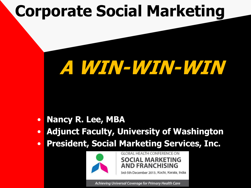# **Corporate Social Marketing**

# **A WIN A WIN--WIN WIN-WIN! -WIN**

- **Nancy R. Lee, MBA**
- **Adjunct Faculty, University of Washington**
- **President, Social Marketing Services, Inc.**



**GLOBAL HEALTH CONFERENCE ON SOCIAL MARKETING AND FRANCHISING** 

3rd-5th December 2013, Kochi, Kerala, India

Achieving Universal Coverage for Primary Health Care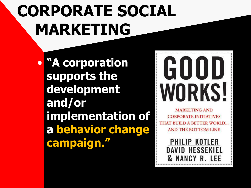# **CORPORATE SOCIAL MARKETING**

• **"A corporation supports the development and/or implementation of a behavior change campaign."**

# GOOD WORKS!

**MARKETING AND CORPORATE INITIATIVES** THAT BUILD A BETTER WORLD. **AND THE BOTTOM LINE** 

> PHILIP KOTLER **DAVID HESSEKIEL** & NANCY R. LEE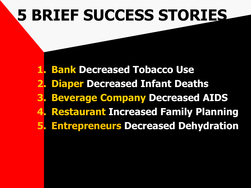# **5 BRIEF SUCCESS STORIES**

**1. Bank Decreased Tobacco Use 2. Diaper Decreased Infant Deaths 3. Beverage Company Decreased AIDS 4. Restaurant Increased Family Planning 5. Entrepreneurs Decreased Dehydration**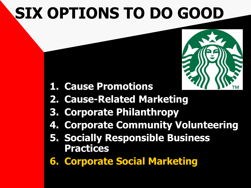# **SIX OPTIONS TO DO GOOD**



- **1. Cause Promotions**
- **2. Cause-Related Marketing**
- **3. Corporate Philanthropy**
- **4. Corporate Community Volunteering**
- **5. Socially Responsible Business Practices**
- **6. Corporate Social Marketing**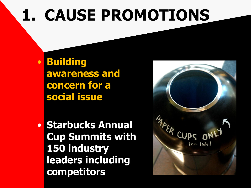# **1. CAUSE PROMOTIONS**

• **Building awareness and concern for a social issue**

• **Starbucks Annual Cup Summits with 150 industry leaders including competitors**

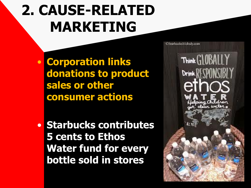### **2. CAUSE-RELATED MARKETING**

• **Corporation links donations to product sales or other consumer actions**

• **Starbucks contributes 5 cents to Ethos Water fund for every bottle sold in stores**

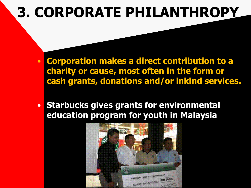### **3. CORPORATE PHILANTHROPY**

- **Corporation makes a direct contribution to a charity or cause, most often in the form or cash grants, donations and/or inkind services.**
- **Starbucks gives grants for environmental education program for youth in Malaysia**

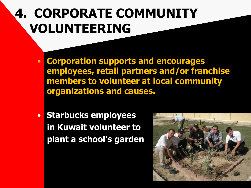### **4. CORPORATE COMMUNITY VOLUNTEERING**

- **Corporation supports and encourages employees, retail partners and/or franchise members to volunteer at local community organizations and causes.**
- **Starbucks employees in Kuwait volunteer to plant a school's garden**

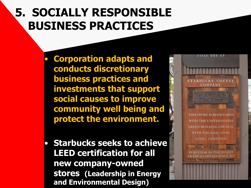#### **5. SOCIALLY RESPONSIBLE BUSINESS PRACTICES**

- **Corporation adapts and conducts discretionary business practices and investments that support social causes to improve community well being and protect the environment.**
- **Starbucks seeks to achieve LEED certification for all new company-owned stores (Leadership in Energy and Environmental Design)**

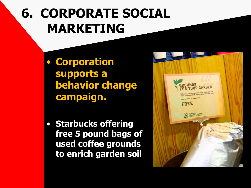### **6. CORPORATE SOCIAL MARKETING**

- **Corporation supports a behavior change campaign.**
- **Starbucks offering free 5 pound bags of used coffee grounds to enrich garden soil**

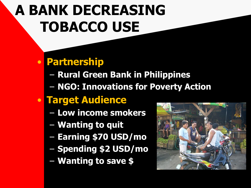#### • **Partnership**

- **Rural Green Bank in Philippines**
- **NGO: Innovations for Poverty Action**

#### • **Target Audience**

- **Low income smokers**
- **Wanting to quit**
- **Earning \$70 USD/mo**
- **Spending \$2 USD/mo**
- **Wanting to save \$**

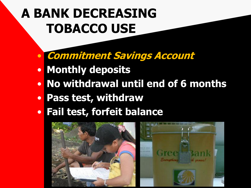- **Commitment Savings Account**
- **Monthly deposits**
- **No withdrawal until end of 6 months**
- **Pass test, withdraw**
- **Fail test, forfeit balance**

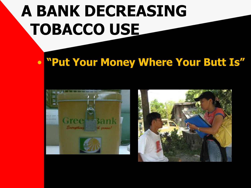#### • **"Put Your Money Where Your Butt Is"**



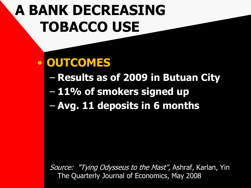#### • **OUTCOMES**

- **Results as of 2009 in Butuan City**
- **11% of smokers signed up**
- **Avg. 11 deposits in 6 months**

Source: "Tying Odysseus to the Mast", Ashraf, Karlan, Yin The Quarterly Journal of Economics, May 2008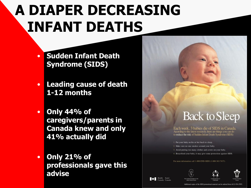## **A DIAPER DECREASING INFANT DEATHS**

- **Sudden Infant Death Syndrome (SIDS)**
- **Leading cause of death 1-12 months**
- **Only 44% of caregivers/parents in Canada knew and only 41% actually did**
- **Only 21% of professionals gave this advise**

#### **Back to Sleep**

Each week, 3 babies die of SIDS in Canada. According to the latest research, there are things you can do to reduce the risk of Sudden Infant Death Syndrome (SIDS):

1. Put your baby on his or her back to sleep.

2. Make sure no one smokes around your baby

3. Avoid putting too many clothes and covers on your baby

4. Breastfeed your baby, it may give some protection against SIDS.

For more information call 1-800-END-SIDS (1-800-363-7437)







Health Santé Canada Canada

Additional copies of the SIDS promotional material can be ordered from (613) 954-599: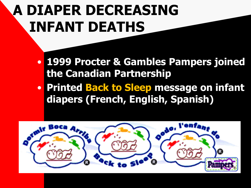### **A DIAPER DECREASING INFANT DEATHS**

- **1999 Procter & Gambles Pampers joined the Canadian Partnership**
- **Printed Back to Sleep message on infant diapers (French, English, Spanish)**

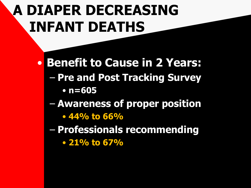### **A DIAPER DECREASING INFANT DEATHS**

• **Benefit to Cause in 2 Years:** – **Pre and Post Tracking Survey** • **n=605**

- **Awareness of proper position** 
	- **44% to 66%**
- **Professionals recommending** 
	- **21% to 67%**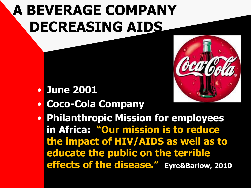## **A BEVERAGE COMPANY DECREASING AIDS**



- **June 2001**
- **Coco-Cola Company**
- **Philanthropic Mission for employees in Africa: "Our mission is to reduce the impact of HIV/AIDS as well as to educate the public on the terrible effects of the disease." Eyre&Barlow, 2010**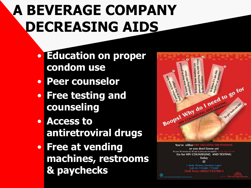# **A BEVERAGE COMPANY DECREASING AIDS**

- **Education on proper condom use**
- **Peer counselor**
- **Free testing and counseling**
- **Access to antiretroviral drugs**
- **Free at vending machines, restrooms & paychecks**



You're either HIV NEGATIVE OR POSITIVE or you don't know yet No cure, Ne vaccine yet. No way to prove you are nego Go for HIV COUNSELING AND TESTING Today @

> **Bode Thomas: surutere: Lagos.** Call: 01-7732200 / 7732201 Toll Free) 08027192780-3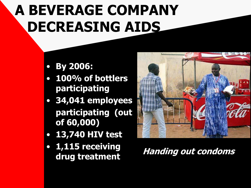## **A BEVERAGE COMPANY DECREASING AIDS**

#### • **By 2006:**

- **100% of bottlers participating**
- **34,041 employees participating (out of 60,000)**
- **13,740 HIV test**
- **1,115 receiving**



**drug treatment Handing out condoms**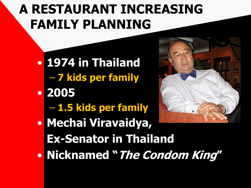- **1974 in Thailand** – **7 kids per family**
- **2005**
	- **1.5 kids per family**





• **Nicknamed "The Condom King"**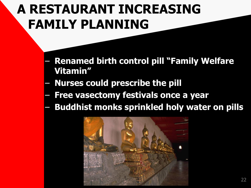- **Renamed birth control pill "Family Welfare Vitamin"**
- **Nurses could prescribe the pill**
- **Free vasectomy festivals once a year**
- **Buddhist monks sprinkled holy water on pills**

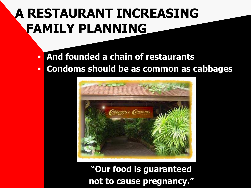- **And founded a chain of restaurants**
- **Condoms should be as common as cabbages**



**"Our food is guaranteed not to cause pregnancy."**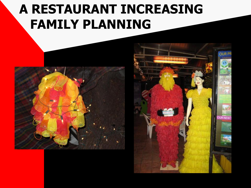

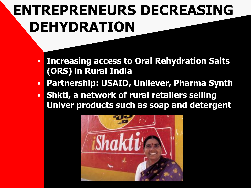### **[EN](https://www.dropbox.com/sh/nzalmtdd8p1lxwx/rm3lz7pFyn/Figure_17.3.tif)TREPRENEURS DECREASING DEHYDRATION**

- **Increasing access to Oral Rehydration Salts (ORS) in Rural India**
- **Partnership: USAID, Unilever, Pharma Synth**
- **Shkti, a network of rural retailers selling Univer products such as soap and detergent**

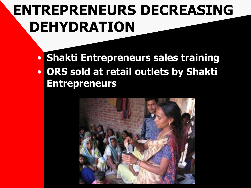### **[EN](https://www.dropbox.com/sh/nzalmtdd8p1lxwx/rm3lz7pFyn/Figure_17.3.tif)TREPRENEURS DECREASING [DE](https://www.dropbox.com/sh/nzalmtdd8p1lxwx/rm3lz7pFyn/Figure_17.3.tif)HYDRATION**

• **Shakti Entrepreneurs sales training** • **ORS sold at retail outlets by Shakti Entrepreneurs**

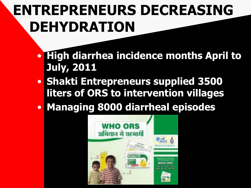### **[EN](https://www.dropbox.com/sh/nzalmtdd8p1lxwx/rm3lz7pFyn/Figure_17.3.tif)TREPRENEURS DECREASING DEHYDRATION**

- **High diarrhea incidence months April to July, 2011**
- **Shakti Entrepreneurs supplied 3500 liters of ORS to intervention villages**
- **Managing 8000 diarrheal episodes**

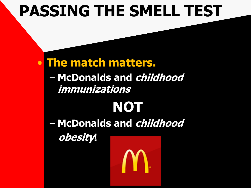### **PASSING THE SMELL TEST**

#### • **The match matters.**

– **McDonalds and childhood immunizations**

# **NOT**

– **McDonalds and childhood**

**obesity!**